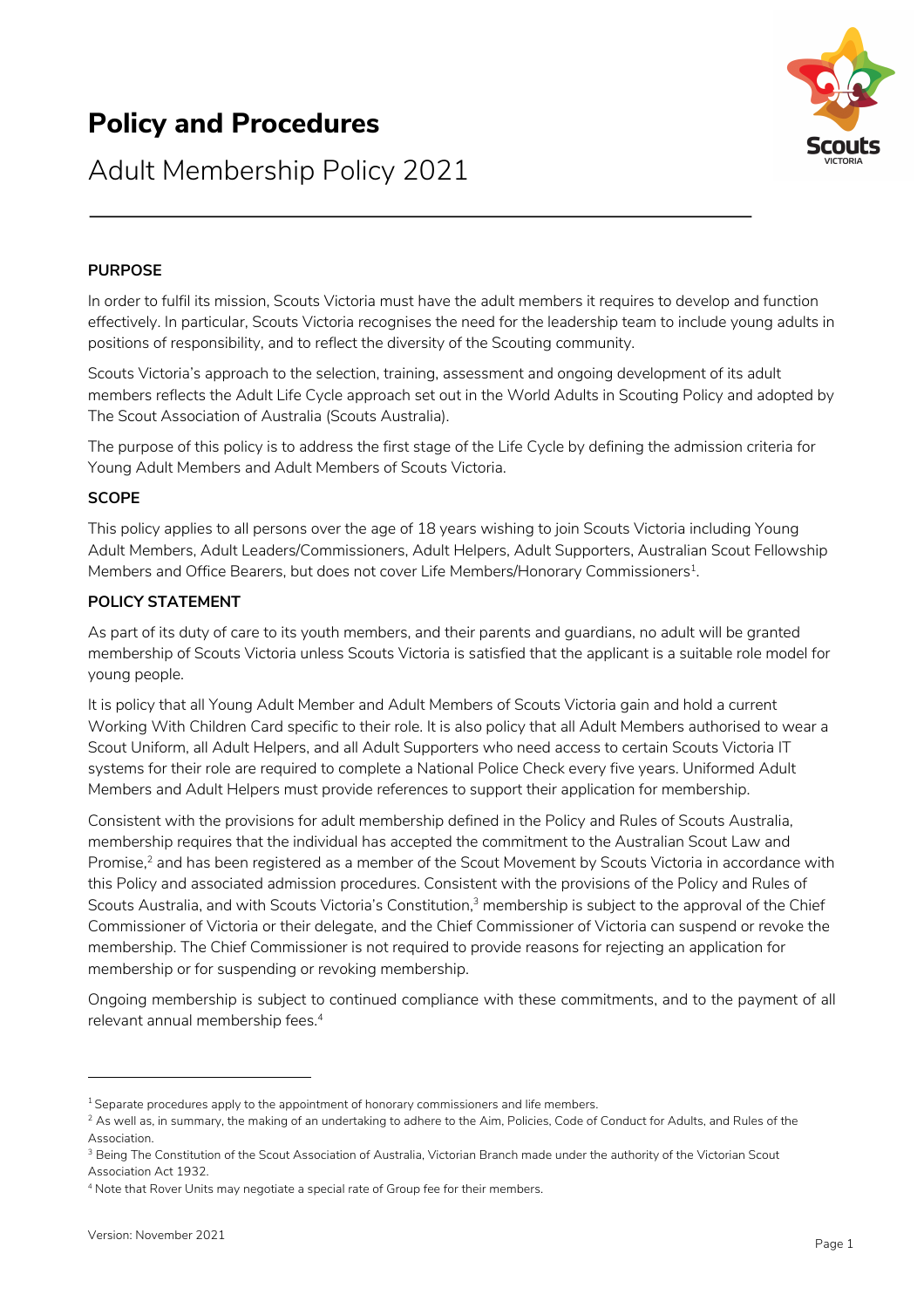# **Policy and Procedures**



## Adult Membership Policy 2021

## **PURPOSE**

In order to fulfil its mission, Scouts Victoria must have the adult members it requires to develop and function effectively. In particular, Scouts Victoria recognises the need for the leadership team to include young adults in positions of responsibility, and to reflect the diversity of the Scouting community.

Scouts Victoria's approach to the selection, training, assessment and ongoing development of its adult members reflects the Adult Life Cycle approach set out in the World Adults in Scouting Policy and adopted by The Scout Association of Australia (Scouts Australia).

The purpose of this policy is to address the first stage of the Life Cycle by defining the admission criteria for Young Adult Members and Adult Members of Scouts Victoria.

#### **SCOPE**

This policy applies to all persons over the age of 18 years wishing to join Scouts Victoria including Young Adult Members, Adult Leaders/Commissioners, Adult Helpers, Adult Supporters, Australian Scout Fellowship Members and Office Bearers, but does not cover Life Members/Honorary Commissioners $^1$ .

#### **POLICY STATEMENT**

As part of its duty of care to its youth members, and their parents and guardians, no adult will be granted membership of Scouts Victoria unless Scouts Victoria is satisfied that the applicant is a suitable role model for young people.

It is policy that all Young Adult Member and Adult Members of Scouts Victoria gain and hold a current Working With Children Card specific to their role. It is also policy that all Adult Members authorised to wear a Scout Uniform, all Adult Helpers, and all Adult Supporters who need access to certain Scouts Victoria IT systems for their role are required to complete a National Police Check every five years. Uniformed Adult Members and Adult Helpers must provide references to support their application for membership.

Consistent with the provisions for adult membership defined in the Policy and Rules of Scouts Australia, membership requires that the individual has accepted the commitment to the Australian Scout Law and Promise,<sup>2</sup> and has been registered as a member of the Scout Movement by Scouts Victoria in accordance with this Policy and associated admission procedures. Consistent with the provisions of the Policy and Rules of Scouts Australia, and with Scouts Victoria's Constitution,<sup>3</sup> membership is subject to the approval of the Chief Commissioner of Victoria or their delegate, and the Chief Commissioner of Victoria can suspend or revoke the membership. The Chief Commissioner is not required to provide reasons for rejecting an application for membership or for suspending or revoking membership.

Ongoing membership is subject to continued compliance with these commitments, and to the payment of all relevant annual membership fees.4

 $1$  Separate procedures apply to the appointment of honorary commissioners and life members.

 $^2$  As well as, in summary, the making of an undertaking to adhere to the Aim, Policies, Code of Conduct for Adults, and Rules of the Association.

<sup>&</sup>lt;sup>3</sup> Being The Constitution of the Scout Association of Australia, Victorian Branch made under the authority of the Victorian Scout Association Act 1932.

<sup>4</sup> Note that Rover Units may negotiate a special rate of Group fee for their members.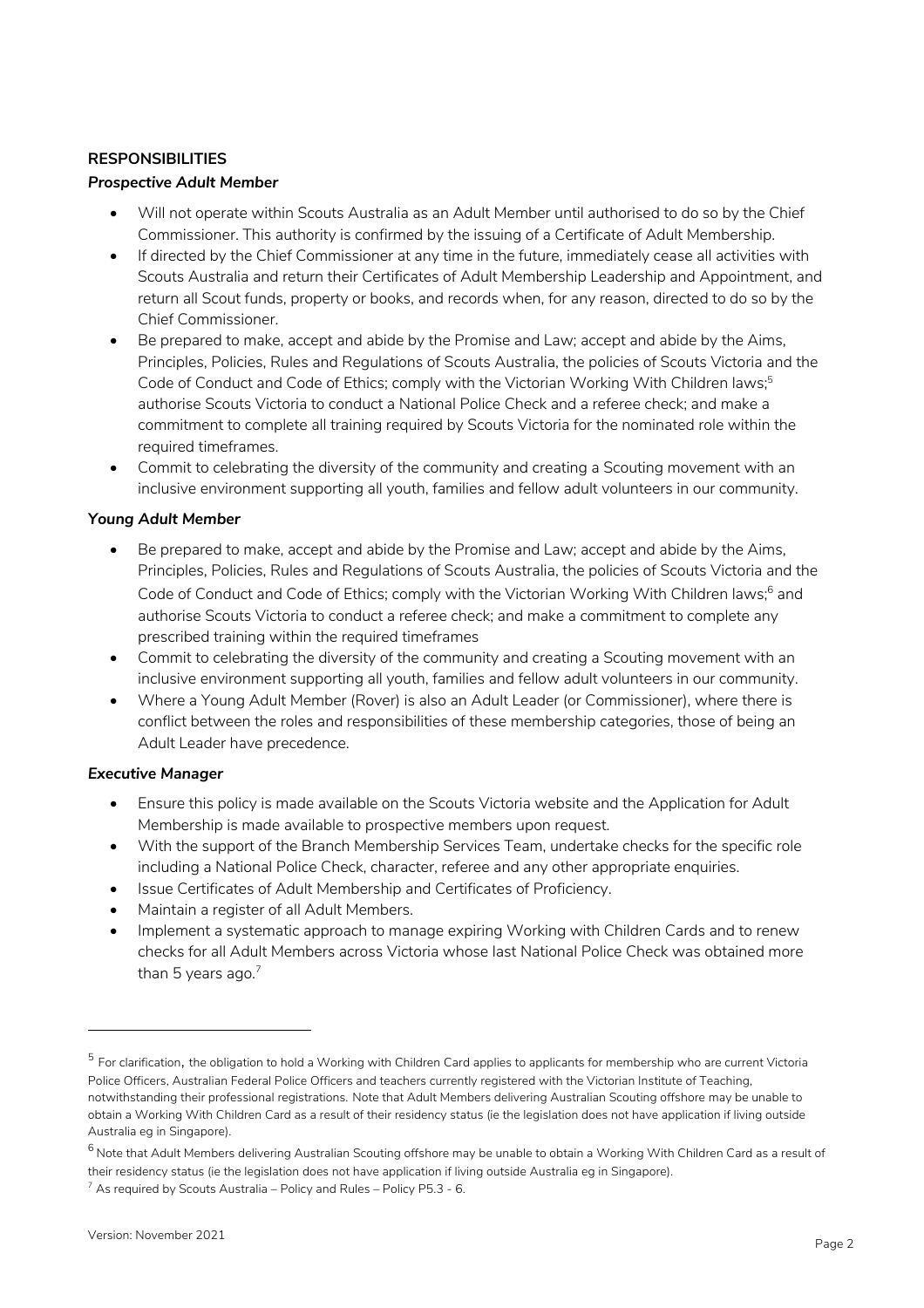## **RESPONSIBILITIES**

#### *Prospective Adult Member*

- Will not operate within Scouts Australia as an Adult Member until authorised to do so by the Chief Commissioner. This authority is confirmed by the issuing of a Certificate of Adult Membership.
- If directed by the Chief Commissioner at any time in the future, immediately cease all activities with Scouts Australia and return their Certificates of Adult Membership Leadership and Appointment, and return all Scout funds, property or books, and records when, for any reason, directed to do so by the Chief Commissioner.
- Be prepared to make, accept and abide by the Promise and Law; accept and abide by the Aims, Principles, Policies, Rules and Regulations of Scouts Australia, the policies of Scouts Victoria and the Code of Conduct and Code of Ethics; comply with the Victorian Working With Children laws;<sup>5</sup> authorise Scouts Victoria to conduct a National Police Check and a referee check; and make a commitment to complete all training required by Scouts Victoria for the nominated role within the required timeframes.
- Commit to celebrating the diversity of the community and creating a Scouting movement with an inclusive environment supporting all youth, families and fellow adult volunteers in our community.

## *Young Adult Member*

- Be prepared to make, accept and abide by the Promise and Law; accept and abide by the Aims, Principles, Policies, Rules and Regulations of Scouts Australia, the policies of Scouts Victoria and the Code of Conduct and Code of Ethics; comply with the Victorian Working With Children laws;<sup>6</sup> and authorise Scouts Victoria to conduct a referee check; and make a commitment to complete any prescribed training within the required timeframes
- Commit to celebrating the diversity of the community and creating a Scouting movement with an inclusive environment supporting all youth, families and fellow adult volunteers in our community.
- Where a Young Adult Member (Rover) is also an Adult Leader (or Commissioner), where there is conflict between the roles and responsibilities of these membership categories, those of being an Adult Leader have precedence.

#### *Executive Manager*

- Ensure this policy is made available on the Scouts Victoria website and the Application for Adult Membership is made available to prospective members upon request.
- With the support of the Branch Membership Services Team, undertake checks for the specific role including a National Police Check, character, referee and any other appropriate enquiries.
- Issue Certificates of Adult Membership and Certificates of Proficiency.
- Maintain a register of all Adult Members.
- Implement a systematic approach to manage expiring Working with Children Cards and to renew checks for all Adult Members across Victoria whose last National Police Check was obtained more than 5 years ago. $7$

 $^5$  For clarification, the obligation to hold a Working with Children Card applies to applicants for membership who are current Victoria Police Officers, Australian Federal Police Officers and teachers currently registered with the Victorian Institute of Teaching, notwithstanding their professional registrations. Note that Adult Members delivering Australian Scouting offshore may be unable to obtain a Working With Children Card as a result of their residency status (ie the legislation does not have application if living outside Australia eg in Singapore).

 $^6$  Note that Adult Members delivering Australian Scouting offshore may be unable to obtain a Working With Children Card as a result of their residency status (ie the legislation does not have application if living outside Australia eg in Singapore).  $7$  As required by Scouts Australia – Policy and Rules – Policy P5.3 - 6.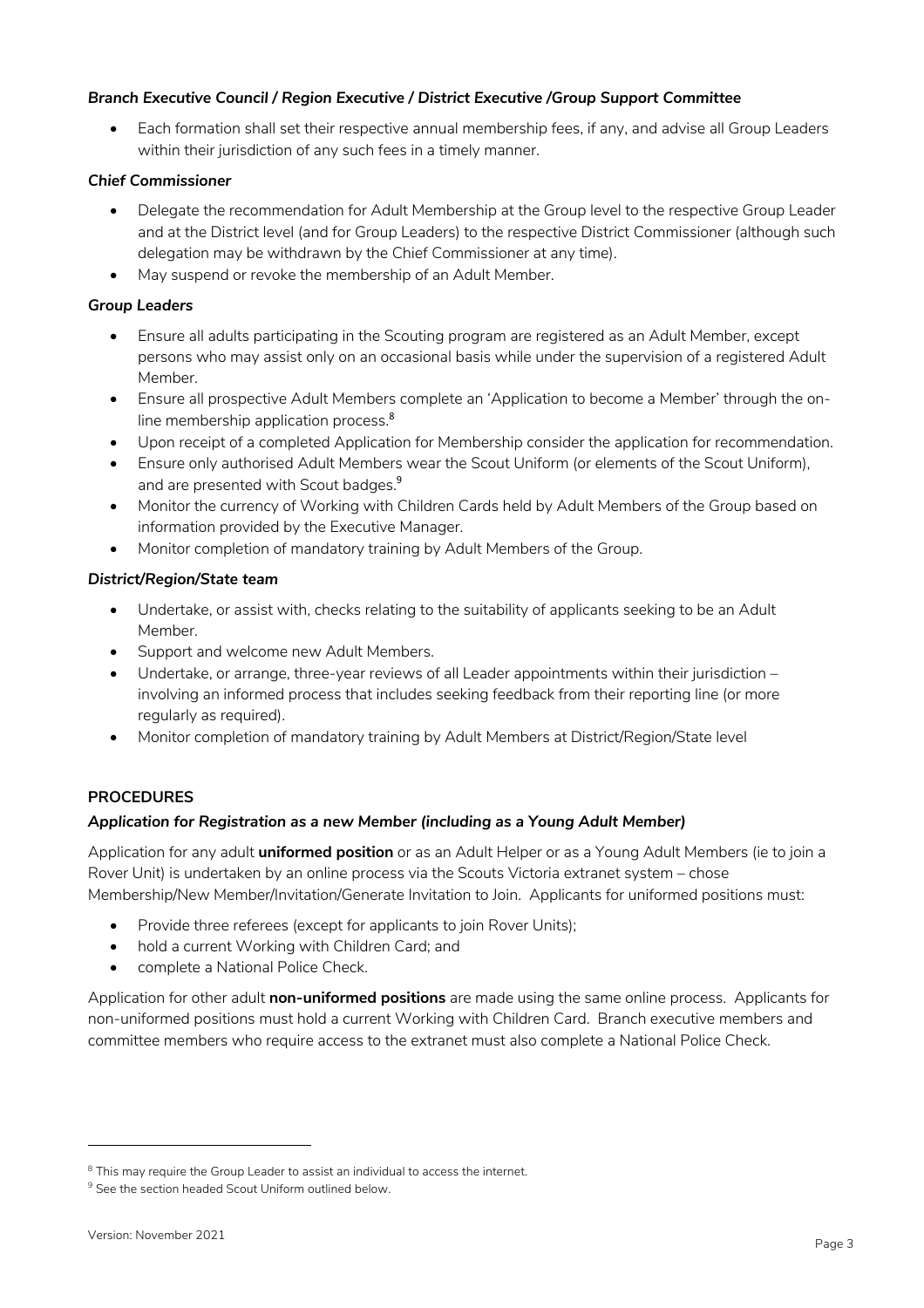## *Branch Executive Council / Region Executive / District Executive /Group Support Committee*

• Each formation shall set their respective annual membership fees, if any, and advise all Group Leaders within their jurisdiction of any such fees in a timely manner.

## *Chief Commissioner*

- Delegate the recommendation for Adult Membership at the Group level to the respective Group Leader and at the District level (and for Group Leaders) to the respective District Commissioner (although such delegation may be withdrawn by the Chief Commissioner at any time).
- May suspend or revoke the membership of an Adult Member.

## *Group Leaders*

- Ensure all adults participating in the Scouting program are registered as an Adult Member, except persons who may assist only on an occasional basis while under the supervision of a registered Adult Member.
- Ensure all prospective Adult Members complete an 'Application to become a Member' through the online membership application process.<sup>8</sup>
- Upon receipt of a completed Application for Membership consider the application for recommendation.
- Ensure only authorised Adult Members wear the Scout Uniform (or elements of the Scout Uniform), and are presented with Scout badges.<sup>9</sup>
- Monitor the currency of Working with Children Cards held by Adult Members of the Group based on information provided by the Executive Manager.
- Monitor completion of mandatory training by Adult Members of the Group.

## *District/Region/State team*

- Undertake, or assist with, checks relating to the suitability of applicants seeking to be an Adult Member.
- Support and welcome new Adult Members.
- Undertake, or arrange, three-year reviews of all Leader appointments within their jurisdiction involving an informed process that includes seeking feedback from their reporting line (or more regularly as required).
- Monitor completion of mandatory training by Adult Members at District/Region/State level

#### **PROCEDURES**

#### *Application for Registration as a new Member (including as a Young Adult Member)*

Application for any adult **uniformed position** or as an Adult Helper or as a Young Adult Members (ie to join a Rover Unit) is undertaken by an online process via the Scouts Victoria extranet system – chose Membership/New Member/Invitation/Generate Invitation to Join. Applicants for uniformed positions must:

- Provide three referees (except for applicants to join Rover Units);
- hold a current Working with Children Card; and
- complete a National Police Check.

Application for other adult **non-uniformed positions** are made using the same online process. Applicants for non-uniformed positions must hold a current Working with Children Card. Branch executive members and committee members who require access to the extranet must also complete a National Police Check.

 $8$  This may require the Group Leader to assist an individual to access the internet.

<sup>&</sup>lt;sup>9</sup> See the section headed Scout Uniform outlined below.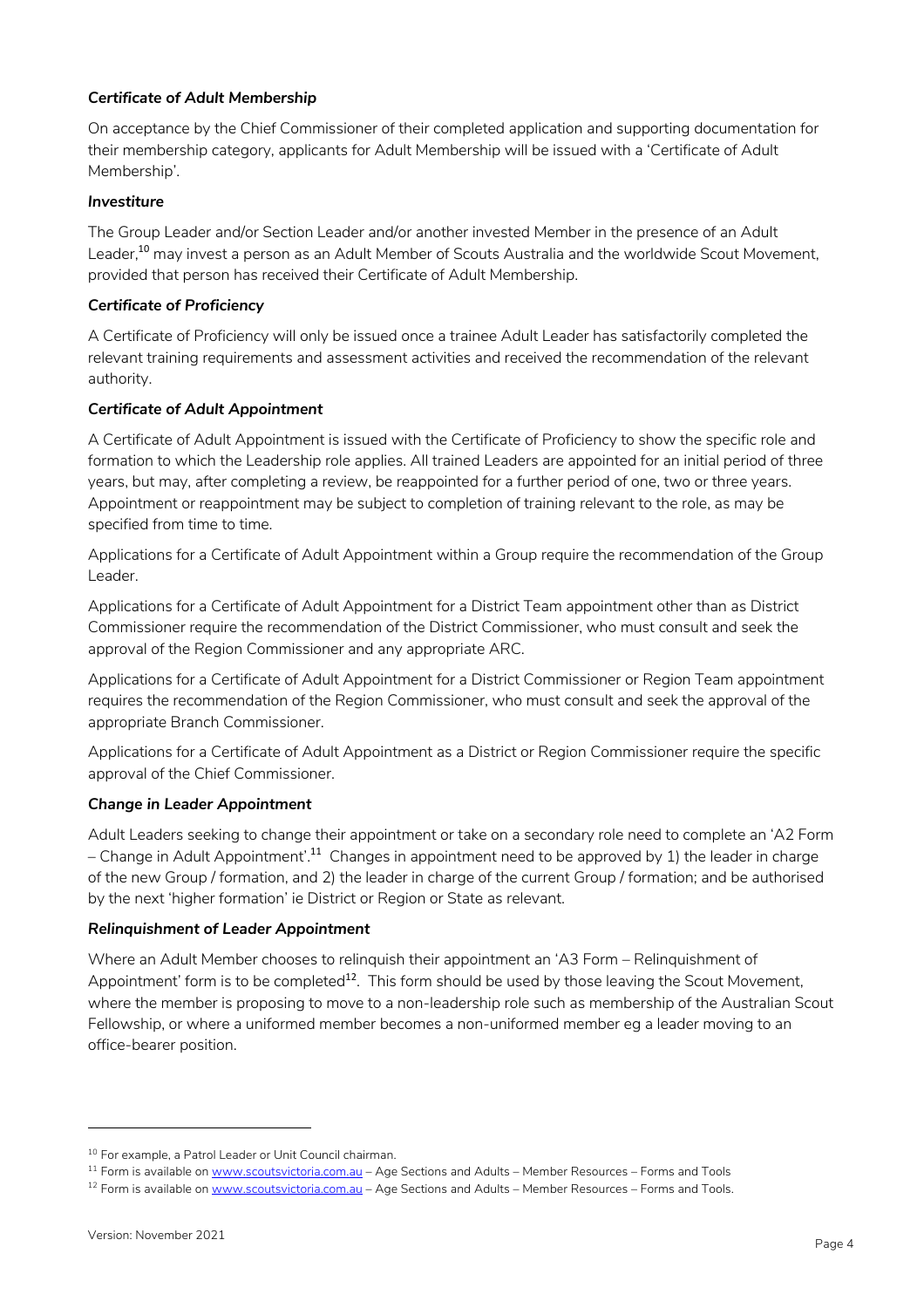## *Certificate of Adult Membership*

On acceptance by the Chief Commissioner of their completed application and supporting documentation for their membership category, applicants for Adult Membership will be issued with a 'Certificate of Adult Membership'.

## *Investiture*

The Group Leader and/or Section Leader and/or another invested Member in the presence of an Adult Leader,<sup>10</sup> may invest a person as an Adult Member of Scouts Australia and the worldwide Scout Movement, provided that person has received their Certificate of Adult Membership.

#### *Certificate of Proficiency*

A Certificate of Proficiency will only be issued once a trainee Adult Leader has satisfactorily completed the relevant training requirements and assessment activities and received the recommendation of the relevant authority.

## *Certificate of Adult Appointment*

A Certificate of Adult Appointment is issued with the Certificate of Proficiency to show the specific role and formation to which the Leadership role applies. All trained Leaders are appointed for an initial period of three years, but may, after completing a review, be reappointed for a further period of one, two or three years. Appointment or reappointment may be subject to completion of training relevant to the role, as may be specified from time to time.

Applications for a Certificate of Adult Appointment within a Group require the recommendation of the Group Leader.

Applications for a Certificate of Adult Appointment for a District Team appointment other than as District Commissioner require the recommendation of the District Commissioner, who must consult and seek the approval of the Region Commissioner and any appropriate ARC.

Applications for a Certificate of Adult Appointment for a District Commissioner or Region Team appointment requires the recommendation of the Region Commissioner, who must consult and seek the approval of the appropriate Branch Commissioner.

Applications for a Certificate of Adult Appointment as a District or Region Commissioner require the specific approval of the Chief Commissioner.

#### *Change in Leader Appointment*

Adult Leaders seeking to change their appointment or take on a secondary role need to complete an 'A2 Form – Change in Adult Appointment'.<sup>11</sup> Changes in appointment need to be approved by 1) the leader in charge of the new Group / formation, and 2) the leader in charge of the current Group / formation; and be authorised by the next 'higher formation' ie District or Region or State as relevant.

#### *Relinquishment of Leader Appointment*

Where an Adult Member chooses to relinquish their appointment an 'A3 Form – Relinquishment of Appointment' form is to be completed $12$ . This form should be used by those leaving the Scout Movement, where the member is proposing to move to a non-leadership role such as membership of the Australian Scout Fellowship, or where a uniformed member becomes a non-uniformed member eg a leader moving to an office-bearer position.

<sup>10</sup> For example, a Patrol Leader or Unit Council chairman.

<sup>&</sup>lt;sup>11</sup> Form is available on www.scoutsvictoria.com.au - Age Sections and Adults - Member Resources - Forms and Tools

<sup>&</sup>lt;sup>12</sup> Form is available on www.scoutsvictoria.com.au - Age Sections and Adults - Member Resources - Forms and Tools.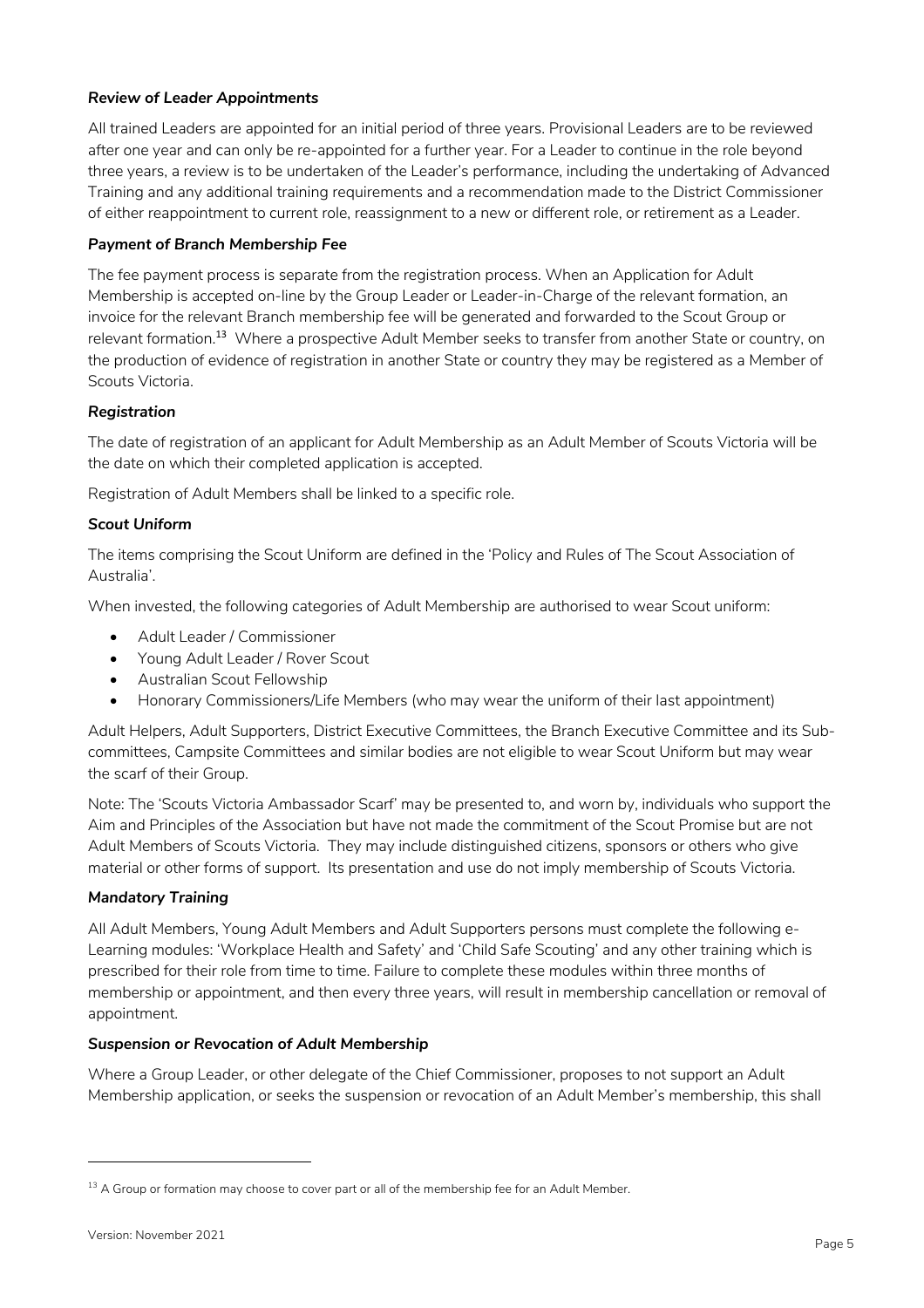## *Review of Leader Appointments*

All trained Leaders are appointed for an initial period of three years. Provisional Leaders are to be reviewed after one year and can only be re-appointed for a further year. For a Leader to continue in the role beyond three years, a review is to be undertaken of the Leader's performance, including the undertaking of Advanced Training and any additional training requirements and a recommendation made to the District Commissioner of either reappointment to current role, reassignment to a new or different role, or retirement as a Leader.

#### *Payment of Branch Membership Fee*

The fee payment process is separate from the registration process. When an Application for Adult Membership is accepted on-line by the Group Leader or Leader-in-Charge of the relevant formation, an invoice for the relevant Branch membership fee will be generated and forwarded to the Scout Group or relevant formation.<sup>13</sup> Where a prospective Adult Member seeks to transfer from another State or country, on the production of evidence of registration in another State or country they may be registered as a Member of Scouts Victoria.

## *Registration*

The date of registration of an applicant for Adult Membership as an Adult Member of Scouts Victoria will be the date on which their completed application is accepted.

Registration of Adult Members shall be linked to a specific role.

## *Scout Uniform*

The items comprising the Scout Uniform are defined in the 'Policy and Rules of The Scout Association of Australia'.

When invested, the following categories of Adult Membership are authorised to wear Scout uniform:

- Adult Leader / Commissioner
- Young Adult Leader / Rover Scout
- Australian Scout Fellowship
- Honorary Commissioners/Life Members (who may wear the uniform of their last appointment)

Adult Helpers, Adult Supporters, District Executive Committees, the Branch Executive Committee and its Subcommittees, Campsite Committees and similar bodies are not eligible to wear Scout Uniform but may wear the scarf of their Group.

Note: The 'Scouts Victoria Ambassador Scarf' may be presented to, and worn by, individuals who support the Aim and Principles of the Association but have not made the commitment of the Scout Promise but are not Adult Members of Scouts Victoria. They may include distinguished citizens, sponsors or others who give material or other forms of support. Its presentation and use do not imply membership of Scouts Victoria.

#### *Mandatory Training*

All Adult Members, Young Adult Members and Adult Supporters persons must complete the following e-Learning modules: 'Workplace Health and Safety' and 'Child Safe Scouting' and any other training which is prescribed for their role from time to time. Failure to complete these modules within three months of membership or appointment, and then every three years, will result in membership cancellation or removal of appointment.

#### *Suspension or Revocation of Adult Membership*

Where a Group Leader, or other delegate of the Chief Commissioner, proposes to not support an Adult Membership application, or seeks the suspension or revocation of an Adult Member's membership, this shall

 $13$  A Group or formation may choose to cover part or all of the membership fee for an Adult Member.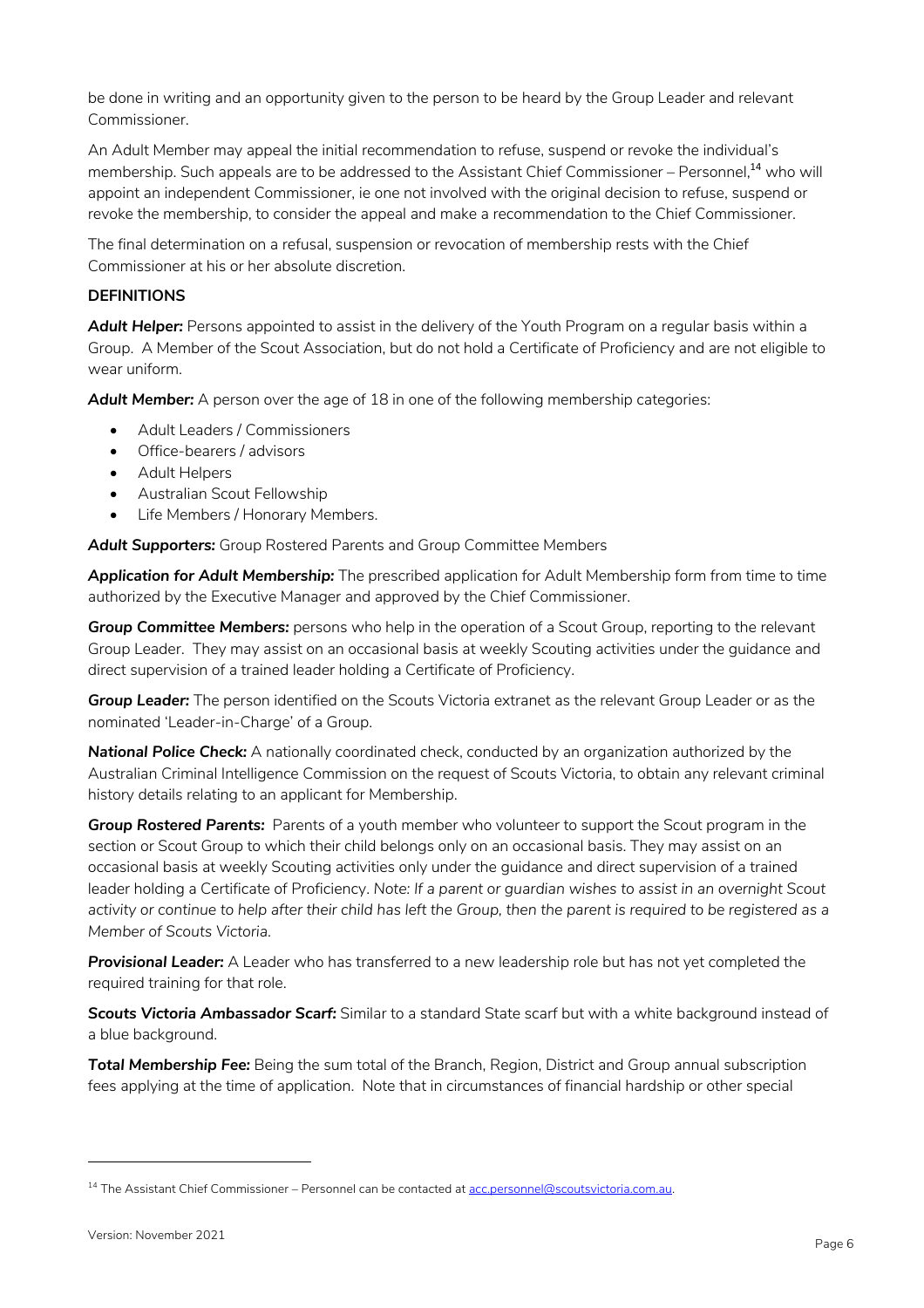be done in writing and an opportunity given to the person to be heard by the Group Leader and relevant Commissioner.

An Adult Member may appeal the initial recommendation to refuse, suspend or revoke the individual's membership. Such appeals are to be addressed to the Assistant Chief Commissioner – Personnel,<sup>14</sup> who will appoint an independent Commissioner, ie one not involved with the original decision to refuse, suspend or revoke the membership, to consider the appeal and make a recommendation to the Chief Commissioner.

The final determination on a refusal, suspension or revocation of membership rests with the Chief Commissioner at his or her absolute discretion.

#### **DEFINITIONS**

*Adult Helper:* Persons appointed to assist in the delivery of the Youth Program on a regular basis within a Group. A Member of the Scout Association, but do not hold a Certificate of Proficiency and are not eligible to wear uniform.

*Adult Member:* A person over the age of 18 in one of the following membership categories:

- Adult Leaders / Commissioners
- Office-bearers / advisors
- Adult Helpers
- Australian Scout Fellowship
- Life Members / Honorary Members.

*Adult Supporters:* Group Rostered Parents and Group Committee Members

*Application for Adult Membership:* The prescribed application for Adult Membership form from time to time authorized by the Executive Manager and approved by the Chief Commissioner.

**Group Committee Members:** persons who help in the operation of a Scout Group, reporting to the relevant Group Leader. They may assist on an occasional basis at weekly Scouting activities under the guidance and direct supervision of a trained leader holding a Certificate of Proficiency.

*Group Leader:* The person identified on the Scouts Victoria extranet as the relevant Group Leader or as the nominated 'Leader-in-Charge' of a Group.

**National Police Check:** A nationally coordinated check, conducted by an organization authorized by the Australian Criminal Intelligence Commission on the request of Scouts Victoria, to obtain any relevant criminal history details relating to an applicant for Membership.

**Group Rostered Parents:** Parents of a youth member who volunteer to support the Scout program in the section or Scout Group to which their child belongs only on an occasional basis. They may assist on an occasional basis at weekly Scouting activities only under the guidance and direct supervision of a trained leader holding a Certificate of Proficiency. *Note: If a parent or guardian wishes to assist in an overnight Scout*  activity or continue to help after their child has left the Group, then the parent is required to be registered as a *Member of Scouts Victoria.*

**Provisional Leader:** A Leader who has transferred to a new leadership role but has not vet completed the required training for that role.

*Scouts Victoria Ambassador Scarf:* Similar to a standard State scarf but with a white background instead of a blue background.

*Total Membership Fee:* Being the sum total of the Branch, Region, District and Group annual subscription fees applying at the time of application. Note that in circumstances of financial hardship or other special

<sup>&</sup>lt;sup>14</sup> The Assistant Chief Commissioner – Personnel can be contacted at acc.personnel@scoutsvictoria.com.au.